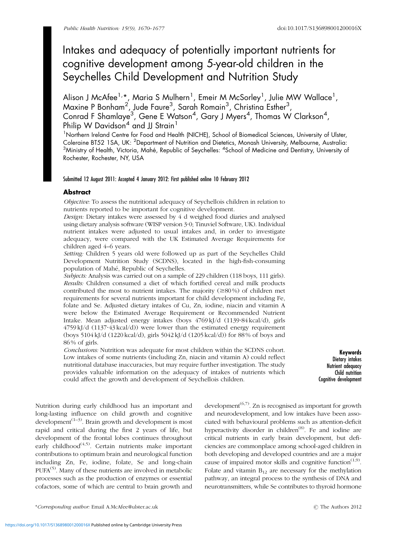# Intakes and adequacy of potentially important nutrients for cognitive development among 5-year-old children in the Seychelles Child Development and Nutrition Study

Alison J McAfee<sup>1,</sup>\*, Maria S Mulhern<sup>1</sup>, Emeir M McSorley<sup>1</sup>, Julie MW Wallace<sup>1</sup>, Maxine P Bonham $^2$ , Jude Faure $^3$ , Sarah Romain $^3$ , Christina Esther $^3$ , Conrad F Shamlaye<sup>3</sup>, Gene E Watson<sup>4</sup>, Gary J Myers<sup>4</sup>, Thomas W Clarkson<sup>4</sup>, Philip W Davidson<sup>4</sup> and JJ Strain<sup>1</sup>

<sup>1</sup>Northern Ireland Centre for Food and Health (NICHE), School of Biomedical Sciences, University of Ulster, Coleraine BT52 1SA, UK: <sup>2</sup>Department of Nutrition and Dietetics, Monash University, Melbourne, Australia:  $^3$ Ministry of Health, Victoria, Mahé, Republic of Seychelles:  $^4$ School of Medicine and Dentistry, University of Rochester, Rochester, NY, USA

# Submitted 12 August 2011: Accepted 4 January 2012: First published online 10 February 2012

# Abstract

Objective: To assess the nutritional adequacy of Seychellois children in relation to nutrients reported to be important for cognitive development.

Design: Dietary intakes were assessed by 4 d weighed food diaries and analysed using dietary analysis software (WISP version 3?0; Tinuviel Software, UK). Individual nutrient intakes were adjusted to usual intakes and, in order to investigate adequacy, were compared with the UK Estimated Average Requirements for children aged 4–6 years.

Setting: Children 5 years old were followed up as part of the Seychelles Child Development Nutrition Study (SCDNS), located in the high-fish-consuming population of Mahé, Republic of Seychelles.

Subjects: Analysis was carried out on a sample of 229 children (118 boys, 111 girls). Results: Children consumed a diet of which fortified cereal and milk products contributed the most to nutrient intakes. The majority  $(\geq 80\%)$  of children met requirements for several nutrients important for child development including Fe, folate and Se. Adjusted dietary intakes of Cu, Zn, iodine, niacin and vitamin A were below the Estimated Average Requirement or Recommended Nutrient Intake. Mean adjusted energy intakes (boys 4769 kJ/d (1139?84 kcal/d), girls  $4759 \text{ kJ/d}$   $(1137.43 \text{ kcal/d})$  were lower than the estimated energy requirement (boys 5104 kJ/d (1220 kcal/d), girls 5042 kJ/d (1205 kcal/d)) for 88 % of boys and  $86\%$  of girls.

Conclusions: Nutrition was adequate for most children within the SCDNS cohort. Low intakes of some nutrients (including Zn, niacin and vitamin A) could reflect nutritional database inaccuracies, but may require further investigation. The study provides valuable information on the adequacy of intakes of nutrients which could affect the growth and development of Seychellois children.

Keywords Dietary intakes Nutrient adequacy Child nutrition Cognitive development

Nutrition during early childhood has an important and long-lasting influence on child growth and cognitive development $(1-3)$ . Brain growth and development is most rapid and critical during the first 2 years of life, but development of the frontal lobes continues throughout early childhood<sup> $(4,5)$  $(4,5)$ </sup>. Certain nutrients make important contributions to optimum brain and neurological function including Zn, Fe, iodine, folate, Se and long-chain  $PUFA<sup>(5)</sup>$  $PUFA<sup>(5)</sup>$  $PUFA<sup>(5)</sup>$ . Many of these nutrients are involved in metabolic processes such as the production of enzymes or essential cofactors, some of which are central to brain growth and

development<sup> $(6,7)$ </sup>. Zn is recognised as important for growth and neurodevelopment, and low intakes have been associated with behavioural problems such as attention-deficit hyperactivity disorder in children<sup>[\(8](#page-6-0))</sup>. Fe and iodine are critical nutrients in early brain development, but deficiencies are commonplace among school-aged children in both developing and developed countries and are a major cause of impaired motor skills and cognitive function<sup> $(1,9)$ </sup>. Folate and vitamin  $B_{12}$  are necessary for the methylation pathway, an integral process to the synthesis of DNA and neurotransmitters, while Se contributes to thyroid hormone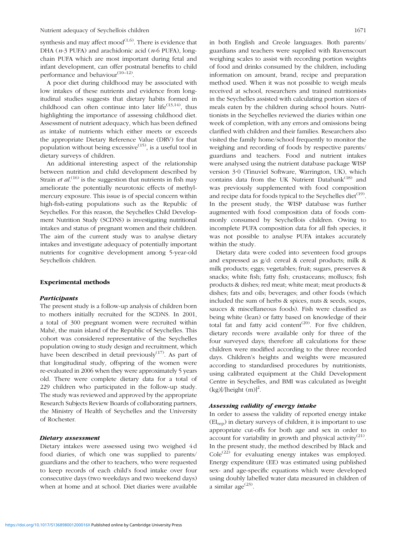synthesis and may affect mood<sup> $(1,6)$  $(1,6)$  $(1,6)$  $(1,6)$ </sup>. There is evidence that DHA ( $n-3$  PUFA) and arachidonic acid ( $n-6$  PUFA), longchain PUFA which are most important during fetal and infant development, can offer postnatal benefits to child performance and behaviour<sup>[\(10](#page-6-0)–[12](#page-6-0))</sup>.

A poor diet during childhood may be associated with low intakes of these nutrients and evidence from longitudinal studies suggests that dietary habits formed in childhood can often continue into later life<sup> $(13,14)$  $(13,14)$  $(13,14)$  $(13,14)$  $(13,14)$ </sup>, thus highlighting the importance of assessing childhood diet. Assessment of nutrient adequacy, which has been defined as intake of nutrients which either meets or exceeds the appropriate Dietary Reference Value (DRV) for that population without being excessive<sup> $(15)$  $(15)$ </sup>, is a useful tool in dietary surveys of children.

An additional interesting aspect of the relationship between nutrition and child development described by Strain *et al*.<sup>([16\)](#page-6-0)</sup> is the suggestion that nutrients in fish may ameliorate the potentially neurotoxic effects of methylmercury exposure. This issue is of special concern within high-fish-eating populations such as the Republic of Seychelles. For this reason, the Seychelles Child Development Nutrition Study (SCDNS) is investigating nutritional intakes and status of pregnant women and their children. The aim of the current study was to analyse dietary intakes and investigate adequacy of potentially important nutrients for cognitive development among 5-year-old Seychellois children.

## Experimental methods

#### Participants

The present study is a follow-up analysis of children born to mothers initially recruited for the SCDNS. In 2001, a total of 300 pregnant women were recruited within Mahé, the main island of the Republic of Seychelles. This cohort was considered representative of the Seychelles population owing to study design and recruitment, which have been described in detail previously $(17)$  $(17)$ . As part of that longitudinal study, offspring of the women were re-evaluated in 2006 when they were approximately 5 years old. There were complete dietary data for a total of 229 children who participated in the follow-up study. The study was reviewed and approved by the appropriate Research Subjects Review Boards of collaborating partners, the Ministry of Health of Seychelles and the University of Rochester.

#### Dietary assessment

Dietary intakes were assessed using two weighed 4 d food diaries, of which one was supplied to parents/ guardians and the other to teachers, who were requested to keep records of each child's food intake over four consecutive days (two weekdays and two weekend days) when at home and at school. Diet diaries were available in both English and Creole languages. Both parents/ guardians and teachers were supplied with Ravenscourt weighing scales to assist with recording portion weights of food and drinks consumed by the children, including information on amount, brand, recipe and preparation method used. When it was not possible to weigh meals received at school, researchers and trained nutritionists in the Seychelles assisted with calculating portion sizes of meals eaten by the children during school hours. Nutritionists in the Seychelles reviewed the diaries within one week of completion, with any errors and omissions being clarified with children and their families. Researchers also visited the family home/school frequently to monitor the weighing and recording of foods by respective parents/ guardians and teachers. Food and nutrient intakes were analysed using the nutrient database package WISP version 3?0 (Tinuviel Software, Warrington, UK), which contains data from the UK Nutrient Databank $^{(18)}$  $^{(18)}$  $^{(18)}$  and was previously supplemented with food composition and recipe data for foods typical to the Seychelles diet $(19)$  $(19)$ . In the present study, the WISP database was further augmented with food composition data of foods commonly consumed by Seychellois children. Owing to incomplete PUFA composition data for all fish species, it was not possible to analyse PUFA intakes accurately within the study.

Dietary data were coded into seventeen food groups and expressed as g/d: cereal & cereal products; milk & milk products; eggs; vegetables; fruit; sugars, preserves & snacks; white fish; fatty fish; crustaceans; molluscs; fish products & dishes; red meat; white meat; meat products & dishes; fats and oils; beverages; and other foods (which included the sum of herbs & spices, nuts & seeds, soups, sauces & miscellaneous foods). Fish were classified as being white (lean) or fatty based on knowledge of their total fat and fatty acid content<sup>[\(20](#page-7-0))</sup>. For five children, dietary records were available only for three of the four surveyed days; therefore all calculations for these children were modified according to the three recorded days. Children's heights and weights were measured according to standardised procedures by nutritionists, using calibrated equipment at the Child Development Centre in Seychelles, and BMI was calculated as [weight  $(kg)/[height (m)]<sup>2</sup>.$ 

# Assessing validity of energy intake

In order to assess the validity of reported energy intake (EIrep) in dietary surveys of children, it is important to use appropriate cut-offs for both age and sex in order to account for variability in growth and physical activity<sup>([21\)](#page-7-0)</sup>. In the present study, the method described by Black and  $Cole^{(22)}$  $Cole^{(22)}$  $Cole^{(22)}$  for evaluating energy intakes was employed. Energy expenditure (EE) was estimated using published sex- and age-specific equations which were developed using doubly labelled water data measured in children of a similar age $^{(23)}$  $^{(23)}$  $^{(23)}$ .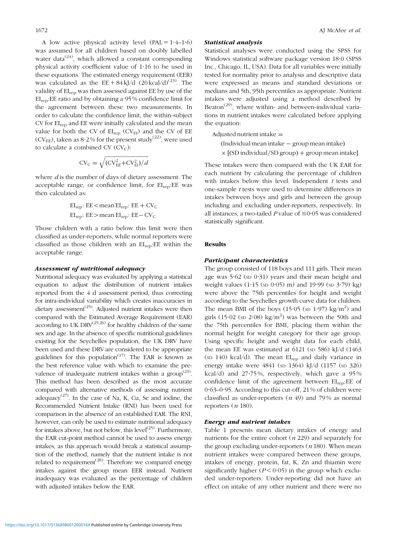A low active physical activity level  $(PAL = 1.4-1.6)$ was assumed for all children based on doubly labelled water data<sup> $(24)$  $(24)$ </sup>, which allowed a constant corresponding physical activity coefficient value of 1?16 to be used in these equations. The estimated energy requirement (EER) was calculated as the  $EE + 84 \text{ kJ/d}$  (20 kcal/d)<sup>([23](#page-7-0))</sup>. The validity of  $EI_{rep}$  was then assessed against EE by use of the EIrep:EE ratio and by obtaining a 95 % confidence limit for the agreement between these two measurements. In order to calculate the confidence limit, the within-subject CV for EIrep and EE were initially calculated and the mean value for both the CV of  $EI_{ren}$  (CV $_{EI}$ ) and the CV of EE (CV<sub>EE</sub>), taken as  $8.2\%$  for the present study<sup>([22\)](#page-7-0)</sup>, were used to calculate a combined CV  $(CV_C)$ :

$$
CV_C = \sqrt{(CV_{EE}^2 + CV_{EI}^2)/d}
$$

where  $d$  is the number of days of dietary assessment. The acceptable range, or confidence limit, for EIrep:EE was then calculated as:

$$
EI_{rep}: EE < mean \tEI_{rep}: EE + CV_{C}
$$
  

$$
EI_{rep}: EE > mean \tEI_{rep}: EE - CV_{C}
$$

Those children with a ratio below this limit were then classified as under-reporters, while normal reporters were classified as those children with an  $EI_{rep}$ : EE within the acceptable range.

# Assessment of nutritional adequacy

Nutritional adequacy was evaluated by applying a statistical equation to adjust the distribution of nutrient intakes reported from the 4 d assessment period, thus correcting for intra-individual variability which creates inaccuracies in dietary assessment<sup> $(25)$  $(25)$ </sup>. Adjusted nutrient intakes were then compared with the Estimated Average Requirement (EAR) according to UK DRV $^{(25,26)}$  $^{(25,26)}$  $^{(25,26)}$  for healthy children of the same sex and age. In the absence of specific nutritional guidelines existing for the Seychelles population, the UK DRV have been used and these DRV are considered to be appropriate guidelines for this population<sup> $(17)$  $(17)$ </sup>. The EAR is known as the best reference value with which to examine the prevalence of inadequate nutrient intakes within a group<sup> $(23)$  $(23)$ </sup>. This method has been described as the most accurate compared with alternative methods of assessing nutrient adequacy<sup> $(27)$  $(27)$ </sup>. In the case of Na, K, Cu, Se and iodine, the Recommended Nutrient Intake (RNI) has been used for comparison in the absence of an established EAR. The RNI, however, can only be used to estimate nutritional adequacy for intakes above, but not below, this level $(25)$ . Furthermore, the EAR cut-point method cannot be used to assess energy intakes, as this approach would break a statistical assumption of the method, namely that the nutrient intake is not related to requirement<sup> $(28)$  $(28)$  $(28)$ </sup>. Therefore we compared energy intakes against the group mean EER instead. Nutrient inadequacy was evaluated as the percentage of children with adjusted intakes below the EAR.

#### Statistical analysis

Statistical analyses were conducted using the SPSS for Windows statistical software package version 18.0 (SPSS) Inc., Chicago, IL, USA). Data for all variables were initially tested for normality prior to analysis and descriptive data were expressed as means and standard deviations or medians and 5th, 95th percentiles as appropriate. Nutrient intakes were adjusted using a method described by Beaton<sup> $(29)$ </sup>, where within- and between-individual variations in nutrient intakes were calculated before applying the equation:

Adjusted nutrient intake  $=$ 

- (Individual mean intake group mean intake)
- $\times$  [(SD individual/SD group) + group mean intake]

These intakes were then compared with the UK EAR for each nutrient by calculating the percentage of children with intakes below this level. Independent  $t$  tests and one-sample t tests were used to determine differences in intakes between boys and girls and between the group including and excluding under-reporters, respectively. In all instances, a two-tailed P value of  $\leq 0.05$  was considered statistically significant.

## Results

#### Participant characteristics

The group consisted of 118 boys and 111 girls. Their mean age was  $5.62$  (sp  $0.31$ ) years and their mean height and weight values  $(1.15 \text{ (sn } 0.05) \text{ m})$  and  $19.99 \text{ (sn } 3.79) \text{ kg})$ were above the 75th percentiles for height and weight according to the Seychelles growth curve data for children. The mean BMI of the boys  $(15.05 \text{ (sn } 1.97) \text{ kg/m}^2)$  and girls (15.02 (sp 2.08) kg/m<sup>2</sup>) was between the 50th and the 75th percentiles for BMI, placing them within the normal height for weight category for their age group. Using specific height and weight data for each child, the mean EE was estimated at 6121 (sp 586) kJ/d (1463 (SD 140) kcal/d). The mean EIrep and daily variance in energy intake were 4841 (sp 1364) kJ/d (1157 (sp 326) kcal/d) and 27?75 %, respectively, which gave a 95 % confidence limit of the agreement between EI<sub>rep</sub>:EE of 0?63–0?95. According to this cut-off, 21 % of children were classified as under-reporters  $(n 49)$  and 79% as normal reporters  $(n 180)$ .

#### Energy and nutrient intakes

[Table 1](#page-3-0) presents mean dietary intakes of energy and nutrients for the entire cohort  $(n 229)$  and separately for the group excluding under-reporters  $(n 180)$ . When mean nutrient intakes were compared between these groups, intakes of energy, protein, fat, K, Zn and thiamin were significantly higher  $(P < 0.05)$  in the group which excluded under-reporters. Under-reporting did not have an effect on intake of any other nutrient and there were no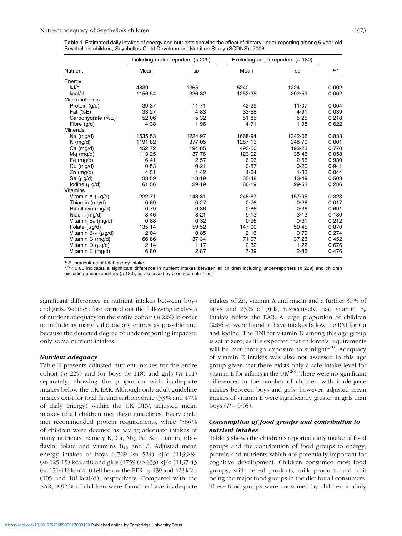<span id="page-3-0"></span>Table 1 Estimated daily intakes of energy and nutrients showing the effect of dietary under-reporting among 5-year-old Seychellois children, Seychelles Child Development Nutrition Study (SCDNS), 2006

|                               |          | Including under-reporters (n 229) |         | Excluding under-reporters (n 180) |       |
|-------------------------------|----------|-----------------------------------|---------|-----------------------------------|-------|
| <b>Nutrient</b>               | Mean     | SD                                | Mean    | SD                                | $P^*$ |
| Energy                        |          |                                   |         |                                   |       |
| kJ/d                          | 4839     | 1365                              | 5240    | 1224                              | 0.002 |
| kcal/d                        | 1156.54  | 326.32                            | 1252.35 | 292.59                            | 0.002 |
| Macronutrients                |          |                                   |         |                                   |       |
| Protein (g/d)                 | 39.37    | 11.71                             | 42.29   | 11.07                             | 0.004 |
| Fat $(\%E)$                   | 33.27    | 4.83                              | 33.58   | 4.91                              | 0.039 |
| Carbohydrate (%E)             | 52.06    | 5.32                              | 51.85   | 5.25                              | 0.218 |
| Fibre (g/d)                   | 4.38     | 1.96                              | 4.71    | 1.98                              | 0.622 |
| <b>Minerals</b>               |          |                                   |         |                                   |       |
| Na $(mg/d)$                   | 1535.53  | 1224.97                           | 1668.94 | 1342.06                           | 0.833 |
| $K$ (mg/d)                    | 1191.82  | 377.05                            | 1287.13 | 348.70                            | 0.001 |
| $Ca$ (mg/d)                   | 452.72   | 194.85                            | 493.50  | 193.23                            | 0.770 |
| $Mg$ (mg/d)                   | 113.25   | 37.76                             | 123.02  | 35.46                             | 0.058 |
| Fe $(mg/d)$                   | 6.41     | 2.57                              | 6.96    | 2.55                              | 0.930 |
| $Cu$ (mg/d)                   | 0.53     | 0.21                              | 0.57    | 0.20                              | 0.941 |
| $Zn$ (mg/d)                   | 4.31     | 1.42                              | 4.64    | 1.33                              | 0.044 |
| Se $(\mu g/d)$                | 33.59    | 13.19                             | 35.48   | 13.49                             | 0.503 |
| lodine $(\mu q/d)$            | 61.56    | 29.19                             | 66.19   | 29.52                             | 0.286 |
| <b>Vitamins</b>               |          |                                   |         |                                   |       |
| Vitamin A $(\mu g/d)$         | 222.71   | 148.31                            | 245.87  | 157.95                            | 0.323 |
| Thiamin (mg/d)                | 0.69     | 0.27                              | 0.76    | 0.26                              | 0.017 |
| Riboflavin (mg/d)             | 0.79     | 0.36                              | 0.86    | 0.36                              | 0.691 |
| Niacin (mg/d)                 | 8.46     | 3.21                              | 9.13    | 3.13                              | 0.180 |
| Vitamin $B_6$ (mg/d)          | 0.88     | 0.32                              | 0.96    | 0.31                              | 0.212 |
| Folate $(\mu q/d)$            | 135.14   | 59.52                             | 147.00  | 59.45                             | 0.870 |
| Vitamin $B_{12}$ ( $\mu$ g/d) | 2.04     | 0.85                              | 2.16    | 0.79                              | 0.274 |
| Vitamin C (mg/d)              | 66.86    | 37.34                             | 71.07   | 37.23                             | 0.452 |
| Vitamin D $(\mu g/d)$         | 2.14     | 1.17                              | 2.32    | 1.22                              | 0.676 |
| Vitamin E (mg/d)              | $6 - 80$ | 2.87                              | 7.39    | 2.86                              | 0.476 |

%E, percentage of total energy intake.

 $*P < 0.05$  indicates a significant difference in nutrient intakes between all children including under-reporters (n 229) and children excluding under-reporters ( $n$  180), as assessed by a one-sample  $t$  test.

significant differences in nutrient intakes between boys and girls. We therefore carried out the following analyses of nutrient adequacy on the entire cohort  $(n 229)$  in order to include as many valid dietary entries as possible and because the detected degree of under-reporting impacted only some nutrient intakes.

## Nutrient adequacy

[Table 2](#page-4-0) presents adjusted nutrient intakes for the entire cohort (*n* 229) and for boys (*n* 118) and girls (*n* 111) separately, showing the proportion with inadequate intakes below the UK EAR. Although only adult guideline intakes exist for total fat and carbohydrate (33 % and 47 % of daily energy) within the UK DRV, adjusted mean intakes of all children met these guidelines. Every child met recommended protein requirements, while  $\geq 86\%$ of children were deemed as having adequate intakes of many nutrients, namely K, Ca, Mg, Fe, Se, thiamin, riboflavin, folate and vitamins  $B_{12}$  and C. Adjusted mean energy intakes of boys (4769 (sp 524) kJ/d  $(1139.84)$ (SD 125?15) kcal/d)) and girls (4759 (SD 633) kJ/d (1137?43 (sp 151 $\cdot$ 41) kcal/d)) fell below the EER by 439 and 423 kJ/d (105 and 101 kcal/d), respectively. Compared with the EAR,  $\geq$ 92% of children were found to have inadequate intakes of Zn, vitamin A and niacin and a further 30 % of boys and 23% of girls, respectively, had vitamin  $B_6$ intakes below the EAR. A large proportion of children  $(\geq 86\%)$  were found to have intakes below the RNI for Cu and iodine. The RNI for vitamin D among this age group is set at zero, as it is expected that children's requirements will be met through exposure to sunlight $(30)$ . Adequacy of vitamin E intakes was also not assessed in this age group given that there exists only a safe intake level for vitamin E for infants in the  $UK^{(26)}$  $UK^{(26)}$  $UK^{(26)}$ . There were no significant differences in the number of children with inadequate intakes between boys and girls; however, adjusted mean intakes of vitamin E were significantly greater in girls than boys ( $P = 0.05$ ).

# Consumption of food groups and contribution to nutrient intakes

[Table 3](#page-5-0) shows the children's reported daily intake of food groups and the contribution of food groups to energy, protein and nutrients which are potentially important for cognitive development. Children consumed most food groups, with cereal products, milk products and fruit being the major food groups in the diet for all consumers. These food groups were consumed by children in daily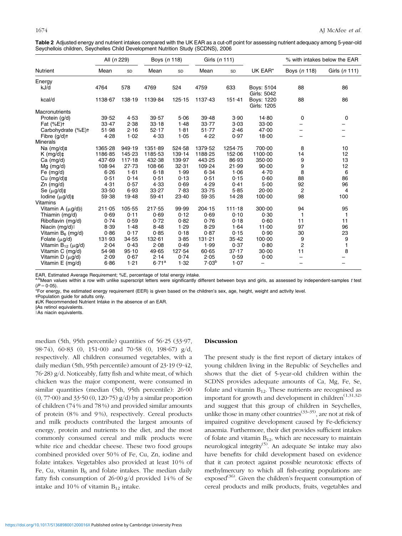<span id="page-4-0"></span>

| Table 2 Adjusted energy and nutrient intakes compared with the UK EAR as a cut-off point for assessing nutrient adequacy among 5-year-old |  |
|-------------------------------------------------------------------------------------------------------------------------------------------|--|
| Seychellois children, Seychelles Child Development Nutrition Study (SCDNS), 2006                                                          |  |

|                                                 | All (n 229) |        | Boys (n 118) |        | Girls (n 111)     |           |                                  |                | % with intakes below the EAR |
|-------------------------------------------------|-------------|--------|--------------|--------|-------------------|-----------|----------------------------------|----------------|------------------------------|
| <b>Nutrient</b>                                 | Mean        | SD     | Mean         | SD     | Mean              | <b>SD</b> | UK EAR*                          | Boys (n 118)   | Girls (n 111)                |
| Energy                                          |             |        |              |        |                   |           |                                  |                |                              |
| kJ/d                                            | 4764        | 578    | 4769         | 524    | 4759              | 633       | Boys: 5104<br>Girls: 5042        | 88             | 86                           |
| kcal/d                                          | 1138.67     | 138.19 | 1139.84      | 125.15 | 1137.43           | 151.41    | <b>Boys: 1220</b><br>Girls: 1205 | 88             | 86                           |
| Macronutrients                                  |             |        |              |        |                   |           |                                  |                |                              |
| Protein (g/d)                                   | 39.52       | 4.53   | 39.57        | 5.06   | 39.48             | 3.90      | 14.80                            | 0              | 0                            |
| Fat $(\%E)$ <sup>+</sup>                        | 33.47       | 2.38   | 33.18        | 1.48   | 33.77             | 3.03      | 33.00                            |                |                              |
| Carbohydrate (%E)+                              | 51.98       | 2.16   | 52.17        | 1.81   | 51.77             | 2.46      | 47.00                            |                |                              |
| Fibre $(g/d)$ t                                 | 4.28        | 1.02   | 4.33         | 1.05   | 4.22              | 0.97      | 18.00                            |                |                              |
| <b>Minerals</b>                                 |             |        |              |        |                   |           |                                  |                |                              |
| Na $(mq/d)$ ‡                                   | 1365.28     | 949.19 | 1351.89      | 524.58 | 1379.52           | 1254.75   | 700.00                           | 8              | 10                           |
| $K$ (mg/d) $\ddagger$                           | 1186.85     | 145.23 | 1185.53      | 139.14 | 1188.25           | 152.06    | 1100.00                          | 14             | 12                           |
| $Ca$ (mg/d)                                     | 437.69      | 117.18 | 432.38       | 139.97 | 443.25            | 86.93     | 350.00                           | 9              | 13                           |
| $Mg$ (mg/d)                                     | 108.94      | 27.73  | 108.66       | 32.31  | 109.24            | 21.99     | 90.00                            | 9              | 12                           |
| Fe $(mq/d)$                                     | 6.26        | 1.61   | 6.18         | 1.99   | 6.34              | 1.06      | 4.70                             | 8              | 6                            |
| Cu $(mg/d)\ddagger$                             | 0.51        | 0.14   | 0.51         | 0.13   | 0.51              | 0.15      | 0.60                             | 88             | 86                           |
| $Zn$ (mg/d)                                     | 4.31        | 0.57   | 4.33         | 0.69   | 4.29              | 0.41      | 5.00                             | 92             | 96                           |
| Se $(\mu q/d)$ <sup><math>\ddagger</math></sup> | 33.50       | 6.93   | 33.27        | 7.83   | 33.75             | 5.85      | 20.00                            | $\overline{2}$ | 4                            |
| lodine $(\mu g/d)\ddagger$                      | 59.38       | 19.48  | 59.41        | 23.40  | 59.35             | 14.28     | 100.00                           | 98             | 100                          |
| Vitamins                                        |             |        |              |        |                   |           |                                  |                |                              |
| Vitamin A $(\mu g/d)$ §                         | 211.05      | 105.55 | 217.55       | 99.99  | 204.15            | 111.18    | 300.00                           | 94             | 95                           |
| Thiamin (mg/d)                                  | 0.69        | 0.11   | 0.69         | 0.12   | 0.69              | 0.10      | 0.30                             | 1              | 1                            |
| Riboflavin (mg/d)                               | 0.74        | 0.59   | 0.72         | 0.82   | 0.76              | 0.18      | 0.60                             | 11             | 11                           |
| Niacin (mg/d)                                   | 8.39        | 1.48   | 8.48         | 1.29   | 8.29              | 1.64      | 11.00                            | 97             | 96                           |
| Vitamin B <sub>6</sub> (mg/d)                   | 0.86        | 0.17   | 0.85         | 0.18   | 0.87              | 0.15      | 0.90                             | 30             | 23                           |
| Folate $(\mu q/d)$                              | 131.93      | 34.55  | 132.61       | 3.85   | 131.21            | 35.42     | 100.00                           | 9              | 9                            |
| Vitamin $B_{12}$ ( $\mu$ g/d)                   | 2.04        | 0.43   | 2.08         | 0.49   | 1.99              | 0.37      | 0.80                             | $\overline{c}$ | $\mathbf{1}$                 |
| Vitamin C (mg/d)                                | 54.98       | 95.10  | 49.65        | 127.54 | 60.65             | 37.17     | 30.00                            | 11             | 8                            |
| Vitamin D (µg/d)                                | 2.09        | 0.67   | 2.14         | 0.74   | 2.05              | 0.59      | 0.00                             |                |                              |
| Vitamin E (mg/d)                                | 6.86        | 1.21   | $6.71^{a}$   | 1.32   | 7.03 <sup>b</sup> | 1.07      | -                                |                |                              |

EAR, Estimated Average Requirement; %E, percentage of total energy intake.<br><sup>a.b</sup>Mean values within a row with unlike superscript letters were significantly different between boys and girls, as assessed by independent-sampl  $(P = 0.05)$ .

\*For energy, the estimated energy requirement (EER) is given based on the children's sex, age, height, weight and activity level.

-Population guide for adults only. - - UK Recommended Nutrient Intake in the absence of an EAR.

yAs retinol equivalents. JAs niacin equivalents.

median (5th, 95th percentile) quantities of  $56.25$  (33.97, 98.74), 60.83 (0, 151.00) and 70.58 (0, 198.67) g/d, respectively. All children consumed vegetables, with a daily median (5th, 95th percentile) amount of  $23.19(9.42,$  $76.28$ ) g/d. Noticeably, fatty fish and white meat, of which chicken was the major component, were consumed in similar quantities (median (5th, 95th percentile):  $26.00$  $(0, 77.00)$  and  $33.50$   $(0, 120.75)$  g/d) by a similar proportion of children (74 % and 78 %) and provided similar amounts of protein (8% and 9%), respectively. Cereal products and milk products contributed the largest amounts of energy, protein and nutrients to the diet, and the most commonly consumed cereal and milk products were white rice and cheddar cheese. These two food groups combined provided over 50 % of Fe, Cu, Zn, iodine and folate intakes. Vegetables also provided at least 10 % of Fe, Cu, vitamin  $B_6$  and folate intakes. The median daily fatty fish consumption of  $26.00 \frac{g}{d}$  provided 14% of Se intake and 10% of vitamin  $B_{12}$  intake.

# Discussion

The present study is the first report of dietary intakes of young children living in the Republic of Seychelles and shows that the diet of 5-year-old children within the SCDNS provides adequate amounts of Ca, Mg, Fe, Se, folate and vitamin  $B_{12}$ . These nutrients are recognised as important for growth and development in children $(1,31,32)$  $(1,31,32)$  $(1,31,32)$  $(1,31,32)$ and suggest that this group of children in Seychelles, unlike those in many other countries<sup>([33](#page-7-0)–[35\)](#page-7-0)</sup>, are not at risk of impaired cognitive development caused by Fe-deficiency anaemia. Furthermore, their diet provides sufficient intakes of folate and vitamin  $B_{12}$ , which are necessary to maintain neurological integrity([5\)](#page-6-0). An adequate Se intake may also have benefits for child development based on evidence that it can protect against possible neurotoxic effects of methylmercury to which all fish-eating populations are exposed $(36)$ . Given the children's frequent consumption of cereal products and milk products, fruits, vegetables and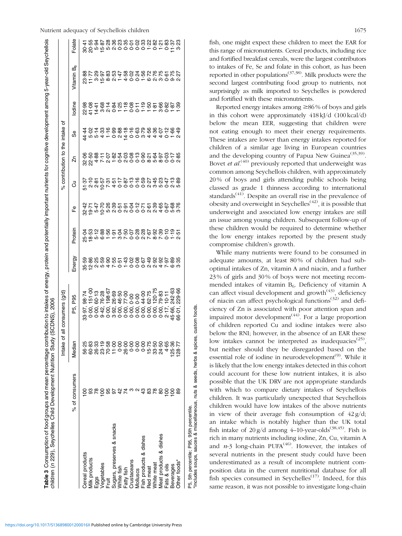<span id="page-5-0"></span>

|                            |                | Intake of | all consumers (g/d)                                                             |        |                                                  |                                            |    | % contribution to the intake of |                                                                                                                     |        |                                                                                                                                                                                                    |                         |
|----------------------------|----------------|-----------|---------------------------------------------------------------------------------|--------|--------------------------------------------------|--------------------------------------------|----|---------------------------------|---------------------------------------------------------------------------------------------------------------------|--------|----------------------------------------------------------------------------------------------------------------------------------------------------------------------------------------------------|-------------------------|
|                            | % of consumers | Median    | P95<br>Б,<br>Д                                                                  | Energy | Protein                                          | டீ                                         | ටි | ń                               | 9S                                                                                                                  | lodine | Jitamin B <sub>6</sub>                                                                                                                                                                             | Folate                  |
| Cereal products            | <u>ខ</u>       | 56.25     |                                                                                 |        |                                                  |                                            |    |                                 |                                                                                                                     |        |                                                                                                                                                                                                    |                         |
| dilk products              |                | 60.83     | )<br>၈. ၁ ၁ ၁ ၁ ၂ ၁ ၂ ၁ ၁ ၁ ၁ ၁ ၁ ၁ ၁ ၁ ၁<br>၈. ၁ ၁ ၁ ၁ ၁ ၁ ၁ ၁ ၁ ၁ ၁ ၁ ၁ ၁ ၁ ၁ |        | ないするかんけいりょうかいかいでんぽうじゅつきかいじゅうしょうしょうしょうしょうしょうしょうかい | なけいのあるにものからでのののでないからです。<br>おけいのではっかいかいのかのの |    |                                 | 4 p p 4 - o g 4 0 0 0 4 4 4 0 - 0<br>4 0 - 0 - 9 0 - - 0 - 0 0 0 0 - 0 - 0 -<br>4 0 4 0 0 0 0 0 0 0 0 0 0 0 7 0 0 0 |        | 80 . C 80 . S 80 . S 80 . S 80 . S 80 . S 80 . S 80 . S 80 . S 80 . S 80 . S 80 .<br>80 . S 80 . S 80 . S 80 . S 80 . S 80 . S 80 . S 80 . S 80 . S 80 . S 80 . S 80 . S 80 . S 80 . S 80 . S 80 . | ooooooooooooooooooooooo |
| $-99s$                     |                |           |                                                                                 |        |                                                  |                                            |    |                                 |                                                                                                                     |        |                                                                                                                                                                                                    |                         |
| egetables                  | $\overline{8}$ |           |                                                                                 |        |                                                  |                                            |    |                                 |                                                                                                                     |        |                                                                                                                                                                                                    |                         |
|                            |                |           |                                                                                 |        |                                                  |                                            |    |                                 |                                                                                                                     |        |                                                                                                                                                                                                    |                         |
| Sugars, preserves & snacks |                |           |                                                                                 |        |                                                  |                                            |    |                                 |                                                                                                                     |        |                                                                                                                                                                                                    |                         |
| Vhite fish                 |                |           |                                                                                 |        |                                                  |                                            |    |                                 |                                                                                                                     |        |                                                                                                                                                                                                    |                         |
| Fatty fish                 |                |           |                                                                                 |        |                                                  |                                            |    |                                 |                                                                                                                     |        |                                                                                                                                                                                                    |                         |
| custaceans                 |                |           |                                                                                 |        |                                                  |                                            |    |                                 |                                                                                                                     |        |                                                                                                                                                                                                    |                         |
| <b>Molluscs</b>            |                |           |                                                                                 |        |                                                  |                                            |    |                                 |                                                                                                                     |        |                                                                                                                                                                                                    |                         |
| Fish products & dishes     | ఞ              |           |                                                                                 |        |                                                  |                                            |    |                                 |                                                                                                                     |        |                                                                                                                                                                                                    |                         |
| Red meat                   | 83             | 15.75     |                                                                                 |        |                                                  |                                            |    |                                 |                                                                                                                     |        |                                                                                                                                                                                                    |                         |
| White meat                 |                | 33-50     |                                                                                 |        |                                                  |                                            |    |                                 |                                                                                                                     |        |                                                                                                                                                                                                    |                         |
| Meat products & dishes     | 8              | 24.50     |                                                                                 |        |                                                  |                                            |    |                                 |                                                                                                                     |        |                                                                                                                                                                                                    |                         |
| Fats & oils                | 8              | 4.65      |                                                                                 |        |                                                  |                                            |    |                                 |                                                                                                                     |        |                                                                                                                                                                                                    |                         |
| Beverages                  | 을              | 125.36    | 15.66                                                                           |        |                                                  |                                            |    |                                 |                                                                                                                     |        |                                                                                                                                                                                                    |                         |
| Other foods*               |                | 128.77    |                                                                                 |        |                                                  |                                            |    |                                 |                                                                                                                     |        |                                                                                                                                                                                                    |                         |

P5, 5th percentile; P95, 95th percentile.<br>\*Includes soups, sauces & miscellaneous, nuts & seeds, herbs & spices, custom foods. \*Includes soups, sauces & miscellaneous, nuts & seeds, herbs & spices, custom foods. P5, 5th percentile; P95, 95th percentile.

fish, one might expect these children to meet the EAR for this range of micronutrients. Cereal products, including rice and fortified breakfast cereals, were the largest contributors to intakes of Fe, Se and folate in this cohort, as has been reported in other populations<sup> $(37,38)$  $(37,38)$ </sup>. Milk products were the second largest contributing food group to nutrients, not surprisingly as milk imported to Seychelles is powdered and fortified with these micronutrients.

Reported energy intakes among  $\geq 86\%$  of boys and girls in this cohort were approximately 418kJ/d (100kcal/d) below the mean EER, suggesting that children were not eating enough to meet their energy requirements. These intakes are lower than energy intakes reported for children of a similar age living in European countries and the developing country of Papua New Guinea<sup> $(35,39)$  $(35,39)$ </sup>. Bovet *et al.*<sup>[\(40](#page-7-0))</sup> previously reported that underweight was common among Seychellois children, with approximately 20 % of boys and girls attending public schools being classed as grade 1 thinness according to international standards<sup> $(41)$ </sup>. Despite an overall rise in the prevalence of obesity and overweight in Seychelles<sup> $(42)$  $(42)$ </sup>, it is possible that underweight and associated low energy intakes are still an issue among young children. Subsequent follow-up of these children would be required to determine whether the low energy intakes reported by the present study compromise children's growth.

While many nutrients were found to be consumed in adequate amounts, at least 80 % of children had suboptimal intakes of Zn, vitamin A and niacin, and a further 23 % of girls and 30 % of boys were not meeting recommended intakes of vitamin B<sub>6</sub>. Deficiency of vitamin A can affect visual development and growth<sup> $(43)$  $(43)$ </sup>, deficiency of niacin can affect psychological functions<sup>[\(32\)](#page-7-0)</sup> and deficiency of Zn is associated with poor attention span and impaired motor development<sup> $(44)$  $(44)$ </sup>. For a large proportion of children reported Cu and iodine intakes were also below the RNI; however, in the absence of an EAR these low intakes cannot be interpreted as inadequacies<sup> $(25)$  $(25)$ </sup>, but neither should they be disregarded based on the essential role of iodine in neurodevelopment<sup>([9](#page-6-0))</sup>. While it is likely that the low energy intakes detected in this cohort could account for these low nutrient intakes, it is also possible that the UK DRV are not appropriate standards with which to compare dietary intakes of Seychellois children. It was particularly unexpected that Seychellois children would have low intakes of the above nutrients in view of their average fish consumption of  $42 \frac{g}{d}$ ; an intake which is notably higher than the UK total fish intake of  $20 g/d$  among 4–10-year-olds<sup>[\(38,45\)](#page-7-0)</sup>. Fish is rich in many nutrients including iodine, Zn, Cu, vitamin A and  $n-3$  long-chain PUFA<sup>[\(46](#page-7-0))</sup>. However, the intakes of several nutrients in the present study could have been underestimated as a result of incomplete nutrient composition data in the current nutritional database for all fish species consumed in Seychelles<sup> $(17)$  $(17)$  $(17)$ </sup>. Indeed, for this same reason, it was not possible to investigate long-chain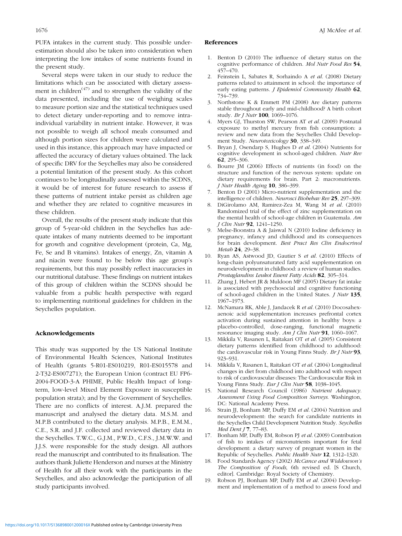<span id="page-6-0"></span>PUFA intakes in the current study. This possible underestimation should also be taken into consideration when interpreting the low intakes of some nutrients found in the present study.

Several steps were taken in our study to reduce the limitations which can be associated with dietary assessment in children $(47)$  $(47)$  and to strengthen the validity of the data presented, including the use of weighing scales to measure portion size and the statistical techniques used to detect dietary under-reporting and to remove intraindividual variability in nutrient intake. However, it was not possible to weigh all school meals consumed and although portion sizes for children were calculated and used in this instance, this approach may have impacted or affected the accuracy of dietary values obtained. The lack of specific DRV for the Seychelles may also be considered a potential limitation of the present study. As this cohort continues to be longitudinally assessed within the SCDNS, it would be of interest for future research to assess if these patterns of nutrient intake persist as children age and whether they are related to cognitive measures in these children.

Overall, the results of the present study indicate that this group of 5-year-old children in the Seychelles has adequate intakes of many nutrients deemed to be important for growth and cognitive development (protein, Ca, Mg, Fe, Se and B vitamins). Intakes of energy, Zn, vitamin A and niacin were found to be below this age group's requirements, but this may possibly reflect inaccuracies in our nutritional database. These findings on nutrient intakes of this group of children within the SCDNS should be valuable from a public health perspective with regard to implementing nutritional guidelines for children in the Seychelles population.

# Acknowledgements

This study was supported by the US National Institute of Environmental Health Sciences, National Institutes of Health (grants 5-R01-ES010219, R01-ES015578 and 2-T32-ES007271); the European Union (contract EU FP6- 2004-FOOD-3-A PHIME, Public Health Impact of longterm, low-level Mixed Element Exposure in susceptible population strata); and by the Government of Seychelles. There are no conflicts of interest. A.J.M. prepared the manuscript and analysed the dietary data. M.S.M. and M.P.B contributed to the dietary analysis. M.P.B., E.M.M., C.E., S.R. and J.F. collected and reviewed dietary data in the Seychelles. T.W.C., G.J.M., P.W.D., C.F.S., J.M.W.W. and J.J.S. were responsible for the study design. All authors read the manuscript and contributed to its finalisation. The authors thank Juliette Henderson and nurses at the Ministry of Health for all their work with the participants in the Seychelles, and also acknowledge the participation of all study participants involved.

#### References

- 1. Benton D (2010) The influence of dietary status on the cognitive performance of children. Mol Nutr Food Res 54, 457–470.
- 2. Feinstein L, Sabates R, Sorhaindo A et al. (2008) Dietary patterns related to attainment in school: the importance of early eating patterns. *J Epidemiol Community Health* 62, 734–739.
- 3. Northstone K & Emmett PM (2008) Are dietary patterns stable throughout early and mid-childhood? A birth cohort study. *Br J Nutr* **100**, 1069–1076.
- 4. Myers GJ, Thurston SW, Pearson AT et al. (2009) Postnatal exposure to methyl mercury from fish consumption: a review and new data from the Seychelles Child Development Study. Neurotoxicology 30, 338–349.
- 5. Bryan J, Osendarp S, Hughes D et al. (2004) Nutrients for cognitive development in school-aged children. Nutr Rev 62, 295–306.
- 6. Bourre JM (2006) Effects of nutrients (in food) on the structure and function of the nervous system: update on dietary requirements for brain. Part 2: macronutrients. J Nutr Health Aging 10, 386–399.
- 7. Benton D (2001) Micro-nutrient supplementation and the intelligence of children. Neurosci Biobehav Rev 25, 297–309.
- 8. DiGirolamo AM, Ramirez-Zea M, Wang M et al. (2010) Randomized trial of the effect of zinc supplementation on the mental health of school-age children in Guatemala. Am J Clin Nutr 92, 1241–1250.
- 9. Melse-Boonstra A & Jaiswal N (2010) Iodine deficiency in pregnancy, infancy and childhood and its consequences for brain development. Best Pract Res Clin Endocrinol Metab 24, 29–38.
- 10. Ryan AS, Astwood JD, Gautier S et al. (2010) Effects of long-chain polyunsaturated fatty acid supplementation on neurodevelopment in childhood: a review of human studies. Prostaglandins Leukot Essent Fatty Acids 82, 305–314.
- 11. Zhang J, Hebert JR & Muldoon MF (2005) Dietary fat intake is associated with psychosocial and cognitive functioning of school-aged children in the United States. J Nutr 135, 1967–1973.
- 12. McNamara RK, Able J, Jandacek R et al. (2010) Docosahexaenoic acid supplementation increases prefrontal cortex activation during sustained attention in healthy boys: a placebo-controlled, dose-ranging, functional magnetic resonance imaging study. Am J Clin Nutr 91, 1060-1067.
- 13. Mikkila V, Rasanen L, Raitakari OT et al. (2005) Consistent dietary patterns identified from childhood to adulthood: the cardiovascular risk in Young Finns Study. Br J Nutr 93, 923–931.
- 14. Mikkila V, Rasanen L, Raitakari OT et al. (2004) Longitudinal changes in diet from childhood into adulthood with respect to risk of cardiovascular diseases: The Cardiovascular Risk in Young Finns Study. Eur J Clin Nutr 58, 1038-1045.
- 15. National Research Council (1986) Nutrient Adequacy. Assessment Using Food Composition Surveys. Washington, DC: National Academy Press.
- 16. Strain JJ, Bonham MP, Duffy EM et al. (2004) Nutrition and neurodevelopment: the search for candidate nutrients in the Seychelles Child Development Nutrition Study. Seychelles Med Dent J  $7, 77-83$ .
- 17. Bonham MP, Duffy EM, Robson PJ et al. (2009) Contribution of fish to intakes of micronutrients important for fetal development: a dietary survey of pregnant women in the Republic of Seychelles. Public Health Nutr 12, 1312–1320.
- 18. Food Standards Agency (2002) McCance and Widdowson's The Composition of Foods, 6th revised ed. [S Church, editor]. Cambridge: Royal Society of Chemistry.
- Robson PJ, Bonham MP, Duffy EM et al. (2004) Development and implementation of a method to assess food and